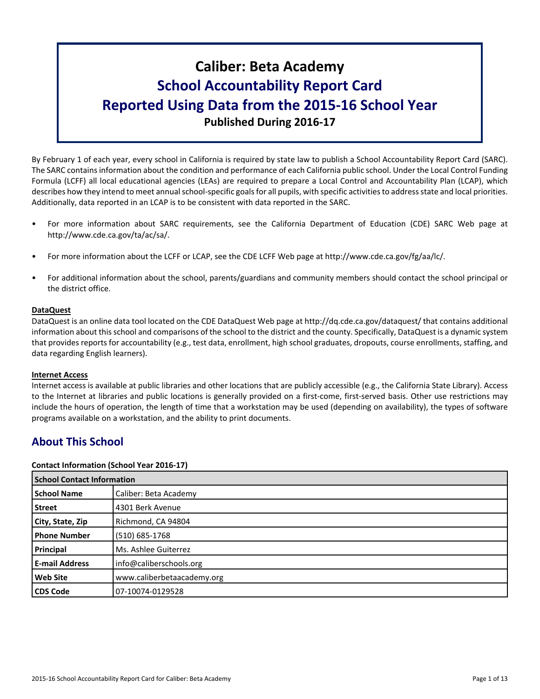# **Caliber: Beta Academy School Accountability Report Card Reported Using Data from the 2015-16 School Year Published During 2016-17**

By February 1 of each year, every school in California is required by state law to publish a School Accountability Report Card (SARC). The SARC contains information about the condition and performance of each California public school. Under the Local Control Funding Formula (LCFF) all local educational agencies (LEAs) are required to prepare a Local Control and Accountability Plan (LCAP), which describes how they intend to meet annual school-specific goals for all pupils, with specific activities to address state and local priorities. Additionally, data reported in an LCAP is to be consistent with data reported in the SARC.

- For more information about SARC requirements, see the California Department of Education (CDE) SARC Web page at http://www.cde.ca.gov/ta/ac/sa/.
- For more information about the LCFF or LCAP, see the CDE LCFF Web page at http://www.cde.ca.gov/fg/aa/lc/.
- For additional information about the school, parents/guardians and community members should contact the school principal or the district office.

# **DataQuest**

DataQuest is an online data tool located on the CDE DataQuest Web page at http://dq.cde.ca.gov/dataquest/ that contains additional information about this school and comparisons of the school to the district and the county. Specifically, DataQuest is a dynamic system that provides reports for accountability (e.g., test data, enrollment, high school graduates, dropouts, course enrollments, staffing, and data regarding English learners).

#### **Internet Access**

Internet access is available at public libraries and other locations that are publicly accessible (e.g., the California State Library). Access to the Internet at libraries and public locations is generally provided on a first-come, first-served basis. Other use restrictions may include the hours of operation, the length of time that a workstation may be used (depending on availability), the types of software programs available on a workstation, and the ability to print documents.

# **About This School**

#### **Contact Information (School Year 2016-17)**

| <b>School Contact Information</b> |                            |  |  |
|-----------------------------------|----------------------------|--|--|
| <b>School Name</b>                | Caliber: Beta Academy      |  |  |
| <b>Street</b>                     | 4301 Berk Avenue           |  |  |
| City, State, Zip                  | Richmond, CA 94804         |  |  |
| <b>Phone Number</b>               | (510) 685-1768             |  |  |
| Principal                         | Ms. Ashlee Guiterrez       |  |  |
| <b>E-mail Address</b>             | info@caliberschools.org    |  |  |
| <b>Web Site</b>                   | www.caliberbetaacademy.org |  |  |
| <b>CDS Code</b>                   | 07-10074-0129528           |  |  |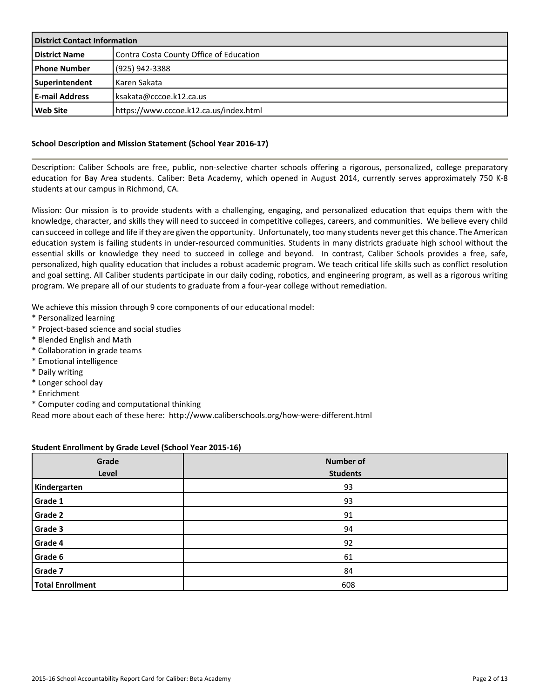| <b>District Contact Information</b> |                                         |  |  |
|-------------------------------------|-----------------------------------------|--|--|
| <b>District Name</b>                | Contra Costa County Office of Education |  |  |
| <b>I Phone Number</b>               | (925) 942-3388                          |  |  |
| Superintendent                      | l Karen Sakata                          |  |  |
| l E-mail Address                    | ksakata@cccoe.k12.ca.us                 |  |  |
| l Web Site                          | https://www.cccoe.k12.ca.us/index.html  |  |  |

# **School Description and Mission Statement (School Year 2016-17)**

Description: Caliber Schools are free, public, non-selective charter schools offering a rigorous, personalized, college preparatory education for Bay Area students. Caliber: Beta Academy, which opened in August 2014, currently serves approximately 750 K-8 students at our campus in Richmond, CA.

Mission: Our mission is to provide students with a challenging, engaging, and personalized education that equips them with the knowledge, character, and skills they will need to succeed in competitive colleges, careers, and communities. We believe every child can succeed in college and life if they are given the opportunity. Unfortunately, too many students never get this chance. The American education system is failing students in under-resourced communities. Students in many districts graduate high school without the essential skills or knowledge they need to succeed in college and beyond. In contrast, Caliber Schools provides a free, safe, personalized, high quality education that includes a robust academic program. We teach critical life skills such as conflict resolution and goal setting. All Caliber students participate in our daily coding, robotics, and engineering program, as well as a rigorous writing program. We prepare all of our students to graduate from a four-year college without remediation.

We achieve this mission through 9 core components of our educational model:

- \* Personalized learning
- \* Project-based science and social studies
- \* Blended English and Math
- \* Collaboration in grade teams
- \* Emotional intelligence
- \* Daily writing
- \* Longer school day
- \* Enrichment
- \* Computer coding and computational thinking

Read more about each of these here: http://www.caliberschools.org/how-were-different.html

#### **Student Enrollment by Grade Level (School Year 2015-16)**

| Grade<br>Level          | <b>Number of</b><br><b>Students</b> |
|-------------------------|-------------------------------------|
| Kindergarten            | 93                                  |
| Grade 1                 | 93                                  |
| Grade 2                 | 91                                  |
| Grade 3                 | 94                                  |
| Grade 4                 | 92                                  |
| Grade 6                 | 61                                  |
| Grade 7                 | 84                                  |
| <b>Total Enrollment</b> | 608                                 |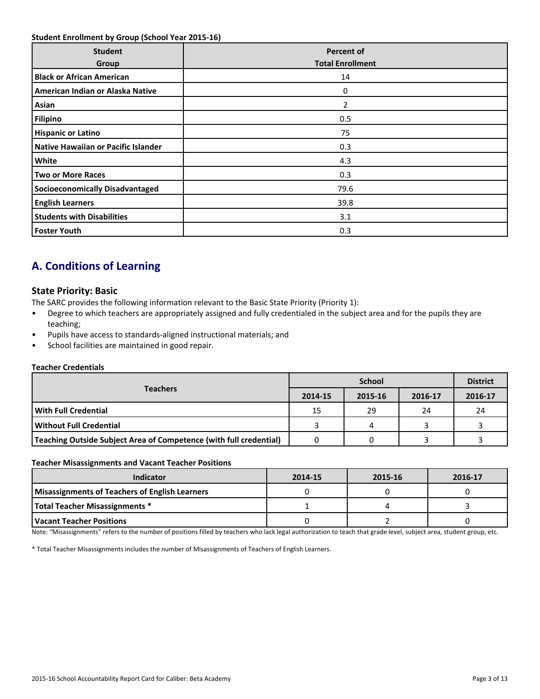### **Student Enrollment by Group (School Year 2015-16)**

| <b>Student</b><br>Group                    | <b>Percent of</b><br><b>Total Enrollment</b> |
|--------------------------------------------|----------------------------------------------|
| <b>Black or African American</b>           | 14                                           |
| American Indian or Alaska Native           | 0                                            |
| Asian                                      | 2                                            |
| <b>Filipino</b>                            | 0.5                                          |
| <b>Hispanic or Latino</b>                  | 75                                           |
| <b>Native Hawaiian or Pacific Islander</b> | 0.3                                          |
| White                                      | 4.3                                          |
| <b>Two or More Races</b>                   | 0.3                                          |
| <b>Socioeconomically Disadvantaged</b>     | 79.6                                         |
| <b>English Learners</b>                    | 39.8                                         |
| <b>Students with Disabilities</b>          | 3.1                                          |
| <b>Foster Youth</b>                        | 0.3                                          |

# **A. Conditions of Learning**

# **State Priority: Basic**

The SARC provides the following information relevant to the Basic State Priority (Priority 1):

- Degree to which teachers are appropriately assigned and fully credentialed in the subject area and for the pupils they are teaching;
- Pupils have access to standards-aligned instructional materials; and
- School facilities are maintained in good repair.

#### **Teacher Credentials**

|                                                                    |         | <b>District</b> |         |         |
|--------------------------------------------------------------------|---------|-----------------|---------|---------|
| <b>Teachers</b>                                                    | 2014-15 | 2015-16         | 2016-17 | 2016-17 |
| <b>With Full Credential</b>                                        | 15      | 29              | 24      | 24      |
| l Without Full Credential                                          |         |                 |         |         |
| Teaching Outside Subject Area of Competence (with full credential) |         |                 |         |         |

#### **Teacher Misassignments and Vacant Teacher Positions**

| Indicator                                             | 2014-15 | 2015-16 | 2016-17 |
|-------------------------------------------------------|---------|---------|---------|
| <b>Misassignments of Teachers of English Learners</b> |         |         |         |
| Total Teacher Misassignments *                        |         |         |         |
| Vacant Teacher Positions                              |         |         |         |

Note: "Misassignments" refers to the number of positions filled by teachers who lack legal authorization to teach that grade level, subject area, student group, etc.

\* Total Teacher Misassignments includes the number of Misassignments of Teachers of English Learners.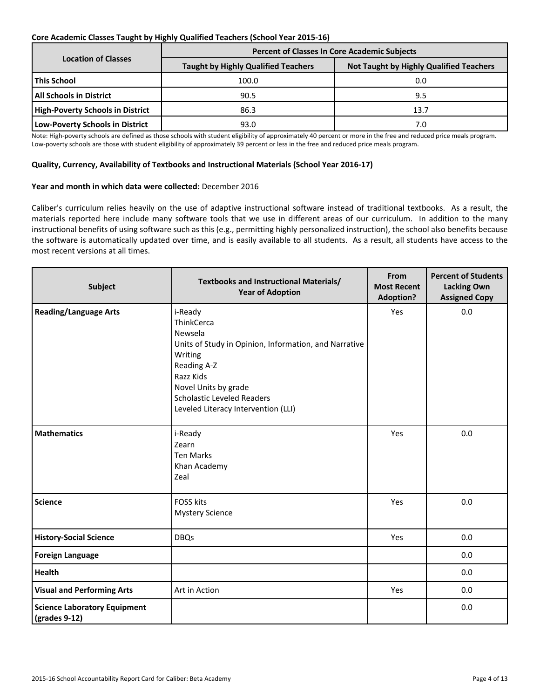# **Core Academic Classes Taught by Highly Qualified Teachers (School Year 2015-16)**

|                                         | <b>Percent of Classes In Core Academic Subjects</b> |                                                |  |  |  |  |
|-----------------------------------------|-----------------------------------------------------|------------------------------------------------|--|--|--|--|
| <b>Location of Classes</b>              | <b>Taught by Highly Qualified Teachers</b>          | <b>Not Taught by Highly Qualified Teachers</b> |  |  |  |  |
| <b>This School</b>                      | 100.0                                               | 0.0                                            |  |  |  |  |
| All Schools in District_                | 90.5                                                | 9.5                                            |  |  |  |  |
| <b>High-Poverty Schools in District</b> | 86.3                                                | 13.7                                           |  |  |  |  |
| <b>Low-Poverty Schools in District</b>  | 93.0                                                | 7.0                                            |  |  |  |  |

Note: High-poverty schools are defined as those schools with student eligibility of approximately 40 percent or more in the free and reduced price meals program. Low-poverty schools are those with student eligibility of approximately 39 percent or less in the free and reduced price meals program.

### **Quality, Currency, Availability of Textbooks and Instructional Materials (School Year 2016-17)**

### **Year and month in which data were collected:** December 2016

Caliber's curriculum relies heavily on the use of adaptive instructional software instead of traditional textbooks. As a result, the materials reported here include many software tools that we use in different areas of our curriculum. In addition to the many instructional benefits of using software such as this (e.g., permitting highly personalized instruction), the school also benefits because the software is automatically updated over time, and is easily available to all students. As a result, all students have access to the most recent versions at all times.

| <b>Subject</b>                                                        | <b>Textbooks and Instructional Materials/</b><br><b>Year of Adoption</b>                                                                                                                                                             | From<br><b>Most Recent</b><br><b>Adoption?</b> | <b>Percent of Students</b><br><b>Lacking Own</b><br><b>Assigned Copy</b> |
|-----------------------------------------------------------------------|--------------------------------------------------------------------------------------------------------------------------------------------------------------------------------------------------------------------------------------|------------------------------------------------|--------------------------------------------------------------------------|
| <b>Reading/Language Arts</b>                                          | i-Ready<br>ThinkCerca<br>Newsela<br>Units of Study in Opinion, Information, and Narrative<br>Writing<br>Reading A-Z<br>Razz Kids<br>Novel Units by grade<br><b>Scholastic Leveled Readers</b><br>Leveled Literacy Intervention (LLI) | Yes                                            | 0.0                                                                      |
| <b>Mathematics</b>                                                    | i-Ready<br>Zearn<br><b>Ten Marks</b><br>Khan Academy<br>Zeal                                                                                                                                                                         | Yes                                            | 0.0                                                                      |
| <b>Science</b>                                                        | <b>FOSS kits</b><br><b>Mystery Science</b>                                                                                                                                                                                           | Yes                                            | 0.0                                                                      |
| <b>History-Social Science</b>                                         | <b>DBQs</b>                                                                                                                                                                                                                          | Yes                                            | 0.0                                                                      |
| <b>Foreign Language</b>                                               |                                                                                                                                                                                                                                      |                                                | 0.0                                                                      |
| Health                                                                |                                                                                                                                                                                                                                      |                                                | 0.0                                                                      |
| <b>Visual and Performing Arts</b>                                     | Art in Action                                                                                                                                                                                                                        | Yes                                            | 0.0                                                                      |
| <b>Science Laboratory Equipment</b><br>$\left($ grades 9-12 $\right)$ |                                                                                                                                                                                                                                      |                                                | 0.0                                                                      |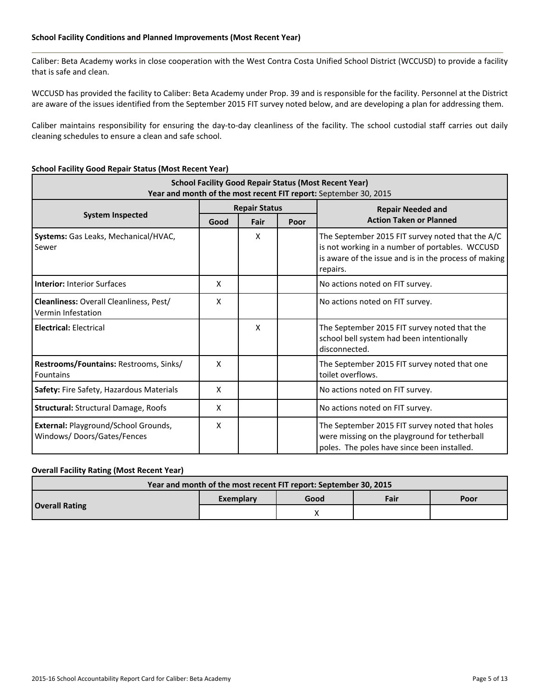#### **School Facility Conditions and Planned Improvements (Most Recent Year)**

Caliber: Beta Academy works in close cooperation with the West Contra Costa Unified School District (WCCUSD) to provide a facility that is safe and clean.

WCCUSD has provided the facility to Caliber: Beta Academy under Prop. 39 and is responsible for the facility. Personnel at the District are aware of the issues identified from the September 2015 FIT survey noted below, and are developing a plan for addressing them.

Caliber maintains responsibility for ensuring the day-to-day cleanliness of the facility. The school custodial staff carries out daily cleaning schedules to ensure a clean and safe school.

# **School Facility Good Repair Status (Most Recent Year)**

| <b>School Facility Good Repair Status (Most Recent Year)</b><br>Year and month of the most recent FIT report: September 30, 2015 |                      |      |      |                                                                                                                                                                          |  |  |  |  |
|----------------------------------------------------------------------------------------------------------------------------------|----------------------|------|------|--------------------------------------------------------------------------------------------------------------------------------------------------------------------------|--|--|--|--|
|                                                                                                                                  | <b>Repair Status</b> |      |      | <b>Repair Needed and</b>                                                                                                                                                 |  |  |  |  |
| <b>System Inspected</b>                                                                                                          | Good                 | Fair | Poor | <b>Action Taken or Planned</b>                                                                                                                                           |  |  |  |  |
| Systems: Gas Leaks, Mechanical/HVAC,<br>Sewer                                                                                    |                      | X    |      | The September 2015 FIT survey noted that the A/C<br>is not working in a number of portables. WCCUSD<br>is aware of the issue and is in the process of making<br>repairs. |  |  |  |  |
| <b>Interior: Interior Surfaces</b>                                                                                               | X                    |      |      | No actions noted on FIT survey.                                                                                                                                          |  |  |  |  |
| Cleanliness: Overall Cleanliness, Pest/<br>Vermin Infestation                                                                    | X                    |      |      | No actions noted on FIT survey.                                                                                                                                          |  |  |  |  |
| <b>Electrical: Electrical</b>                                                                                                    |                      | X    |      | The September 2015 FIT survey noted that the<br>school bell system had been intentionally<br>disconnected.                                                               |  |  |  |  |
| Restrooms/Fountains: Restrooms, Sinks/<br><b>Fountains</b>                                                                       | X                    |      |      | The September 2015 FIT survey noted that one<br>toilet overflows.                                                                                                        |  |  |  |  |
| Safety: Fire Safety, Hazardous Materials                                                                                         | X                    |      |      | No actions noted on FIT survey.                                                                                                                                          |  |  |  |  |
| <b>Structural: Structural Damage, Roofs</b>                                                                                      | X                    |      |      | No actions noted on FIT survey.                                                                                                                                          |  |  |  |  |
| External: Playground/School Grounds,<br>Windows/Doors/Gates/Fences                                                               | X                    |      |      | The September 2015 FIT survey noted that holes<br>were missing on the playground for tetherball<br>poles. The poles have since been installed.                           |  |  |  |  |

### **Overall Facility Rating (Most Recent Year)**

| Year and month of the most recent FIT report: September 30, 2015 |           |      |      |      |  |  |  |
|------------------------------------------------------------------|-----------|------|------|------|--|--|--|
|                                                                  | Exemplary | Good | Fair | Poor |  |  |  |
| <b>Overall Rating</b>                                            |           |      |      |      |  |  |  |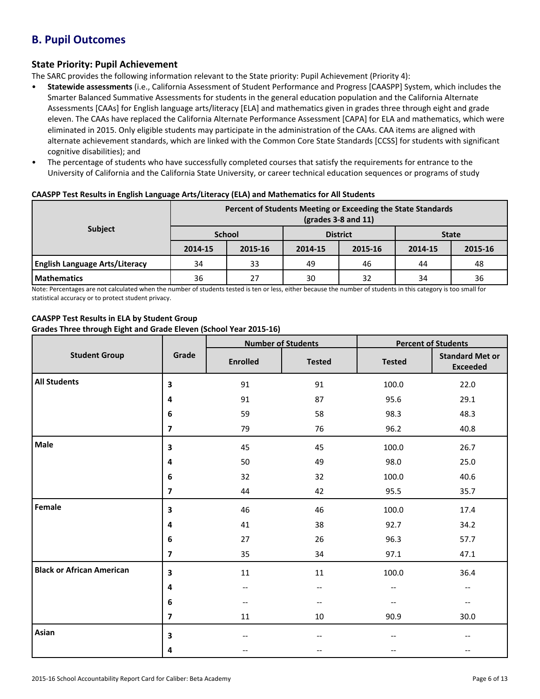# **B. Pupil Outcomes**

# **State Priority: Pupil Achievement**

The SARC provides the following information relevant to the State priority: Pupil Achievement (Priority 4):

- **Statewide assessments** (i.e., California Assessment of Student Performance and Progress [CAASPP] System, which includes the Smarter Balanced Summative Assessments for students in the general education population and the California Alternate Assessments [CAAs] for English language arts/literacy [ELA] and mathematics given in grades three through eight and grade eleven. The CAAs have replaced the California Alternate Performance Assessment [CAPA] for ELA and mathematics, which were eliminated in 2015. Only eligible students may participate in the administration of the CAAs. CAA items are aligned with alternate achievement standards, which are linked with the Common Core State Standards [CCSS] for students with significant cognitive disabilities); and
- The percentage of students who have successfully completed courses that satisfy the requirements for entrance to the University of California and the California State University, or career technical education sequences or programs of study

|                                       | Percent of Students Meeting or Exceeding the State Standards<br>$\left(\text{grades }3-8\text{ and }11\right)$ |         |                 |         |              |         |
|---------------------------------------|----------------------------------------------------------------------------------------------------------------|---------|-----------------|---------|--------------|---------|
| <b>Subject</b>                        | <b>School</b>                                                                                                  |         | <b>District</b> |         | <b>State</b> |         |
|                                       | 2014-15                                                                                                        | 2015-16 | 2014-15         | 2015-16 | 2014-15      | 2015-16 |
| <b>English Language Arts/Literacy</b> | 34                                                                                                             | 33      | 49              | 46      | 44           | 48      |
| l Mathematics                         | 36                                                                                                             | 27      | 30              | 32      | 34           | 36      |

# **CAASPP Test Results in English Language Arts/Literacy (ELA) and Mathematics for All Students**

Note: Percentages are not calculated when the number of students tested is ten or less, either because the number of students in this category is too small for statistical accuracy or to protect student privacy.

# **CAASPP Test Results in ELA by Student Group**

# **Grades Three through Eight and Grade Eleven (School Year 2015-16)**

|                                  | Grade                   |                 | <b>Number of Students</b> | <b>Percent of Students</b> |                                           |  |
|----------------------------------|-------------------------|-----------------|---------------------------|----------------------------|-------------------------------------------|--|
| <b>Student Group</b>             |                         | <b>Enrolled</b> | <b>Tested</b>             | <b>Tested</b>              | <b>Standard Met or</b><br><b>Exceeded</b> |  |
| <b>All Students</b>              | 3                       | 91              | 91                        | 100.0                      | 22.0                                      |  |
|                                  | 4                       | 91              | 87                        | 95.6                       | 29.1                                      |  |
|                                  | 6                       | 59              | 58                        | 98.3                       | 48.3                                      |  |
|                                  | $\overline{\mathbf{z}}$ | 79              | 76                        | 96.2                       | 40.8                                      |  |
| Male                             | 3                       | 45              | 45                        | 100.0                      | 26.7                                      |  |
|                                  | 4                       | 50              | 49                        | 98.0                       | 25.0                                      |  |
|                                  | 6                       | 32              | 32                        | 100.0                      | 40.6                                      |  |
|                                  | $\overline{\mathbf{z}}$ | 44              | 42                        | 95.5                       | 35.7                                      |  |
| Female                           | 3                       | 46              | 46                        | 100.0                      | 17.4                                      |  |
|                                  | 4                       | 41              | 38                        | 92.7                       | 34.2                                      |  |
|                                  | 6                       | 27              | 26                        | 96.3                       | 57.7                                      |  |
|                                  | $\overline{\mathbf{z}}$ | 35              | 34                        | 97.1                       | 47.1                                      |  |
| <b>Black or African American</b> | 3                       | $11\,$          | 11                        | 100.0                      | 36.4                                      |  |
|                                  | 4                       | $-\, -$         | --                        | $\overline{\phantom{m}}$   | $\qquad \qquad -$                         |  |
|                                  | 6                       | $-\!$ $\!-$     | $-\,-$                    | $\overline{\phantom{m}}$   | $-\,-$                                    |  |
|                                  | $\overline{7}$          | 11              | 10                        | 90.9                       | 30.0                                      |  |
| Asian                            | 3                       |                 | --                        |                            |                                           |  |
|                                  | 4                       | $-$             | --                        |                            | $-$                                       |  |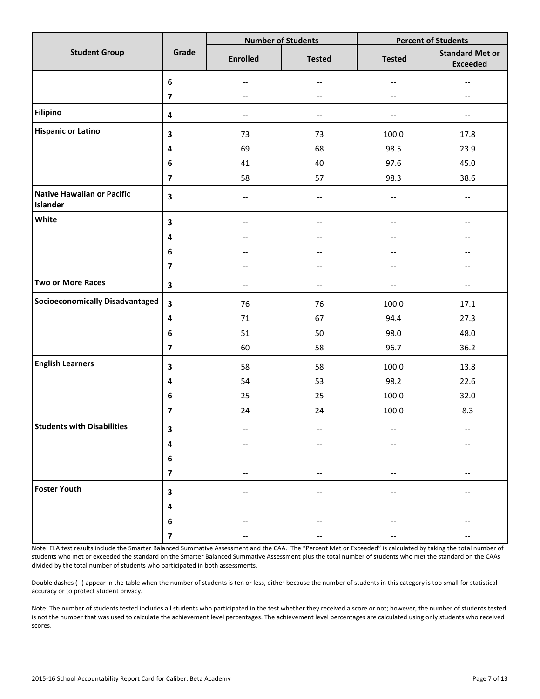|                                               |                         |                                                     | <b>Number of Students</b> |                          | <b>Percent of Students</b>                |  |  |
|-----------------------------------------------|-------------------------|-----------------------------------------------------|---------------------------|--------------------------|-------------------------------------------|--|--|
| <b>Student Group</b>                          | Grade                   | <b>Enrolled</b>                                     | <b>Tested</b>             | <b>Tested</b>            | <b>Standard Met or</b><br><b>Exceeded</b> |  |  |
|                                               | $\bf 6$                 |                                                     | $\qquad \qquad -$         | --                       |                                           |  |  |
|                                               | $\overline{\mathbf{z}}$ | $-\, -$                                             | $\overline{\phantom{a}}$  | --                       | $\overline{\phantom{a}}$                  |  |  |
| <b>Filipino</b>                               | $\pmb{4}$               | $\hspace{0.05cm} -\hspace{0.05cm} -\hspace{0.05cm}$ | $\overline{\phantom{a}}$  | $\overline{\phantom{a}}$ | $\overline{\phantom{m}}$                  |  |  |
| <b>Hispanic or Latino</b>                     | 3                       | 73                                                  | 73                        | 100.0                    | 17.8                                      |  |  |
|                                               | 4                       | 69                                                  | 68                        | 98.5                     | 23.9                                      |  |  |
|                                               | 6                       | 41                                                  | 40                        | 97.6                     | 45.0                                      |  |  |
|                                               | $\overline{\mathbf{z}}$ | 58                                                  | 57                        | 98.3                     | 38.6                                      |  |  |
| <b>Native Hawaiian or Pacific</b><br>Islander | $\overline{\mathbf{3}}$ | --                                                  | --                        | $\overline{\phantom{m}}$ | $-\, -$                                   |  |  |
| White                                         | 3                       | $-$                                                 | $-$                       | $-$                      | $-$                                       |  |  |
|                                               | 4                       |                                                     | --                        |                          |                                           |  |  |
|                                               | $\bf 6$                 |                                                     |                           |                          |                                           |  |  |
|                                               | $\overline{\mathbf{z}}$ | $-$                                                 | $\qquad \qquad -$         | $-$                      | $\qquad \qquad -$                         |  |  |
| <b>Two or More Races</b>                      | $\overline{\mathbf{3}}$ | $\qquad \qquad -$                                   | $- -$                     | $-$                      | $\hspace{0.05cm}$ $\hspace{0.05cm}$       |  |  |
| <b>Socioeconomically Disadvantaged</b>        | $\overline{\mathbf{3}}$ | 76                                                  | 76                        | 100.0                    | 17.1                                      |  |  |
|                                               | 4                       | $71\,$                                              | 67                        | 94.4                     | 27.3                                      |  |  |
|                                               | 6                       | 51                                                  | 50                        | 98.0                     | 48.0                                      |  |  |
|                                               | $\overline{\mathbf{z}}$ | 60                                                  | 58                        | 96.7                     | 36.2                                      |  |  |
| <b>English Learners</b>                       | 3                       | 58                                                  | 58                        | 100.0                    | 13.8                                      |  |  |
|                                               | 4                       | 54                                                  | 53                        | 98.2                     | 22.6                                      |  |  |
|                                               | $\bf 6$                 | 25                                                  | 25                        | 100.0                    | 32.0                                      |  |  |
|                                               | $\overline{\mathbf{z}}$ | 24                                                  | 24                        | 100.0                    | 8.3                                       |  |  |
| <b>Students with Disabilities</b>             | З                       |                                                     |                           |                          |                                           |  |  |
|                                               | 4                       |                                                     |                           |                          |                                           |  |  |
|                                               | $\bf 6$                 |                                                     |                           |                          |                                           |  |  |
|                                               | $\overline{\mathbf{z}}$ |                                                     |                           |                          |                                           |  |  |
| <b>Foster Youth</b>                           | $\overline{\mathbf{3}}$ |                                                     |                           |                          |                                           |  |  |
|                                               | 4                       |                                                     |                           |                          |                                           |  |  |
|                                               | $\bf 6$                 |                                                     |                           |                          |                                           |  |  |
|                                               | $\overline{\mathbf{z}}$ |                                                     |                           |                          |                                           |  |  |

Note: ELA test results include the Smarter Balanced Summative Assessment and the CAA. The "Percent Met or Exceeded" is calculated by taking the total number of students who met or exceeded the standard on the Smarter Balanced Summative Assessment plus the total number of students who met the standard on the CAAs divided by the total number of students who participated in both assessments.

Double dashes (--) appear in the table when the number of students is ten or less, either because the number of students in this category is too small for statistical accuracy or to protect student privacy.

Note: The number of students tested includes all students who participated in the test whether they received a score or not; however, the number of students tested is not the number that was used to calculate the achievement level percentages. The achievement level percentages are calculated using only students who received scores.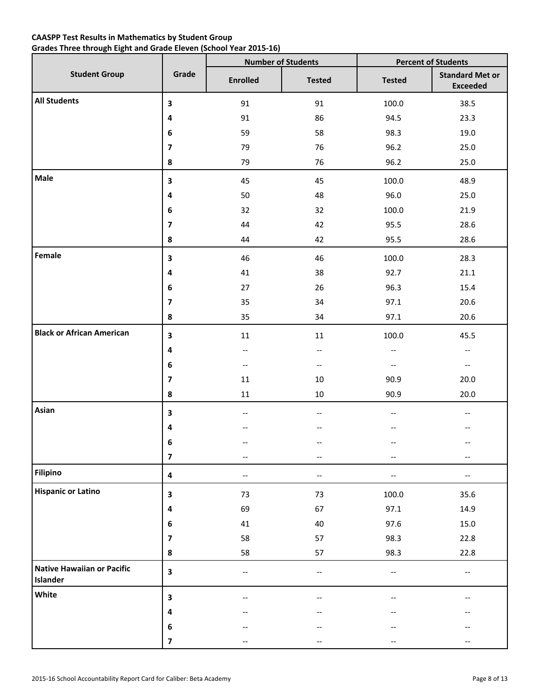# **CAASPP Test Results in Mathematics by Student Group Grades Three through Eight and Grade Eleven (School Year 2015-16)**

|                                               |                         |                                                     | <b>Number of Students</b> | <b>Percent of Students</b>          |                                           |  |
|-----------------------------------------------|-------------------------|-----------------------------------------------------|---------------------------|-------------------------------------|-------------------------------------------|--|
| <b>Student Group</b>                          | Grade                   | <b>Enrolled</b>                                     | <b>Tested</b>             | <b>Tested</b>                       | <b>Standard Met or</b><br><b>Exceeded</b> |  |
| <b>All Students</b>                           | 3                       | 91                                                  | 91                        | 100.0                               | 38.5                                      |  |
|                                               | 4                       | 91                                                  | 86                        | 94.5                                | 23.3                                      |  |
|                                               | 6                       | 59                                                  | 58                        | 98.3                                | 19.0                                      |  |
|                                               | $\overline{\mathbf{z}}$ | 79                                                  | 76                        | 96.2                                | 25.0                                      |  |
|                                               | 8                       | 79                                                  | 76                        | 96.2                                | 25.0                                      |  |
| Male                                          | $\overline{\mathbf{3}}$ | 45                                                  | 45                        | 100.0                               | 48.9                                      |  |
|                                               | 4                       | 50                                                  | 48                        | 96.0                                | 25.0                                      |  |
|                                               | 6                       | 32                                                  | 32                        | 100.0                               | 21.9                                      |  |
|                                               | $\overline{\mathbf{z}}$ | 44                                                  | 42                        | 95.5                                | 28.6                                      |  |
|                                               | 8                       | 44                                                  | 42                        | 95.5                                | 28.6                                      |  |
| Female                                        | 3                       | 46                                                  | 46                        | 100.0                               | 28.3                                      |  |
|                                               | 4                       | 41                                                  | 38                        | 92.7                                | 21.1                                      |  |
|                                               | 6                       | 27                                                  | 26                        | 96.3                                | 15.4                                      |  |
|                                               | $\overline{\mathbf{z}}$ | 35                                                  | 34                        | 97.1                                | 20.6                                      |  |
|                                               | 8                       | 35                                                  | 34                        | 97.1                                | 20.6                                      |  |
| <b>Black or African American</b>              | $\overline{\mathbf{3}}$ | $11\,$                                              | 11                        | 100.0                               | 45.5                                      |  |
|                                               | 4                       | $\hspace{0.05cm} -\hspace{0.05cm} -\hspace{0.05cm}$ | $\overline{\phantom{a}}$  | $\hspace{0.05cm}$ $\hspace{0.05cm}$ | $\overline{\phantom{a}}$                  |  |
|                                               | 6                       | $\hspace{0.05cm} -\hspace{0.05cm} -\hspace{0.05cm}$ | $\overline{\phantom{a}}$  | $\hspace{0.05cm} \textbf{--}$       | $-\hbox{--}$                              |  |
|                                               | $\boldsymbol{7}$        | 11                                                  | 10                        | 90.9                                | 20.0                                      |  |
|                                               | 8                       | 11                                                  | 10                        | 90.9                                | 20.0                                      |  |
| Asian                                         | 3                       | $\qquad \qquad -$                                   | --                        | $-\, -$                             | --                                        |  |
|                                               | 4                       |                                                     |                           |                                     |                                           |  |
|                                               | 6                       |                                                     | $-$                       |                                     | --                                        |  |
|                                               | $\overline{\mathbf{z}}$ | $\qquad \qquad -$                                   | --                        | $\overline{\phantom{m}}$            | $\qquad \qquad -$                         |  |
| <b>Filipino</b>                               | $\overline{\mathbf{4}}$ | $\qquad \qquad -$                                   | $- -$                     | $-\, -$                             | $-\, -$                                   |  |
| <b>Hispanic or Latino</b>                     | 3                       | 73                                                  | 73                        | 100.0                               | 35.6                                      |  |
|                                               | $\overline{\mathbf{4}}$ | 69                                                  | 67                        | 97.1                                | 14.9                                      |  |
|                                               | $\bf 6$                 | 41                                                  | 40                        | 97.6                                | 15.0                                      |  |
|                                               | $\overline{\mathbf{z}}$ | 58                                                  | 57                        | 98.3                                | 22.8                                      |  |
|                                               | 8                       | 58                                                  | 57                        | 98.3                                | 22.8                                      |  |
| <b>Native Hawaiian or Pacific</b><br>Islander | $\mathbf{3}$            | $\qquad \qquad -$                                   | --                        | $-\hbox{--}$                        | $-\, -$                                   |  |
| White                                         | 3                       |                                                     | $\overline{\phantom{a}}$  |                                     |                                           |  |
|                                               | 4                       |                                                     | --                        | --                                  |                                           |  |
|                                               | $\bf 6$                 |                                                     |                           |                                     |                                           |  |
|                                               | $\overline{\mathbf{z}}$ | $\qquad \qquad -$                                   | $\qquad \qquad -$         | --                                  | $-\, -$                                   |  |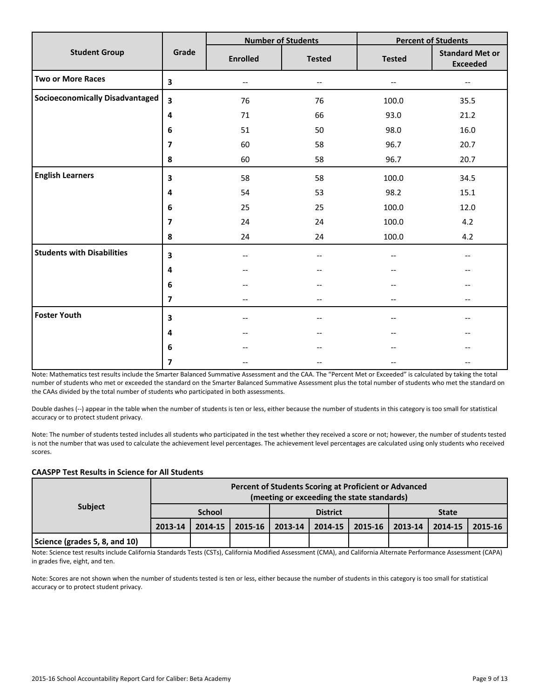|                                        |                         |                          | <b>Number of Students</b> |                          | <b>Percent of Students</b>                |
|----------------------------------------|-------------------------|--------------------------|---------------------------|--------------------------|-------------------------------------------|
| <b>Student Group</b>                   | Grade                   | <b>Enrolled</b>          | <b>Tested</b>             | <b>Tested</b>            | <b>Standard Met or</b><br><b>Exceeded</b> |
| <b>Two or More Races</b>               | $\overline{\mathbf{3}}$ | $\overline{\phantom{m}}$ | $\overline{\phantom{a}}$  | $\overline{\phantom{m}}$ | $-$                                       |
| <b>Socioeconomically Disadvantaged</b> | $\overline{\mathbf{3}}$ | 76                       | 76                        | 100.0                    | 35.5                                      |
|                                        | 4                       | 71                       | 66                        | 93.0                     | 21.2                                      |
|                                        | 6                       | 51                       | 50                        | 98.0                     | 16.0                                      |
|                                        | $\overline{\mathbf{z}}$ | 60                       | 58                        | 96.7                     | 20.7                                      |
|                                        | 8                       | 60                       | 58                        | 96.7                     | 20.7                                      |
| <b>English Learners</b>                | 3                       | 58                       | 58                        | 100.0                    | 34.5                                      |
|                                        | 4                       | 54                       | 53                        | 98.2                     | 15.1                                      |
|                                        | 6                       | 25                       | 25                        | 100.0                    | 12.0                                      |
|                                        | $\overline{\mathbf{z}}$ | 24                       | 24                        | 100.0                    | 4.2                                       |
|                                        | ${\bf 8}$               | 24                       | 24                        | 100.0                    | 4.2                                       |
| <b>Students with Disabilities</b>      | 3                       | $\qquad \qquad -$        | $-$                       |                          | $-$                                       |
|                                        | 4                       |                          |                           |                          |                                           |
|                                        | 6                       |                          | --                        |                          |                                           |
|                                        | $\overline{\mathbf{z}}$ | --                       | --                        |                          | --                                        |
| <b>Foster Youth</b>                    | $\overline{\mathbf{3}}$ | --                       | --                        |                          |                                           |
|                                        | 4                       | --                       |                           |                          |                                           |
|                                        | 6                       |                          |                           |                          |                                           |
|                                        | 7                       |                          |                           |                          |                                           |

Note: Mathematics test results include the Smarter Balanced Summative Assessment and the CAA. The "Percent Met or Exceeded" is calculated by taking the total number of students who met or exceeded the standard on the Smarter Balanced Summative Assessment plus the total number of students who met the standard on the CAAs divided by the total number of students who participated in both assessments.

Double dashes (--) appear in the table when the number of students is ten or less, either because the number of students in this category is too small for statistical accuracy or to protect student privacy.

Note: The number of students tested includes all students who participated in the test whether they received a score or not; however, the number of students tested is not the number that was used to calculate the achievement level percentages. The achievement level percentages are calculated using only students who received scores.

#### **CAASPP Test Results in Science for All Students**

|                               |         | Percent of Students Scoring at Proficient or Advanced<br>(meeting or exceeding the state standards) |                                  |  |  |                       |              |         |             |
|-------------------------------|---------|-----------------------------------------------------------------------------------------------------|----------------------------------|--|--|-----------------------|--------------|---------|-------------|
| <b>Subject</b>                |         |                                                                                                     | <b>School</b><br><b>District</b> |  |  |                       | <b>State</b> |         |             |
|                               | 2013-14 | 2014-15                                                                                             | $2015 - 16$   2013-14            |  |  | $2014 - 15$   2015-16 | 2013-14      | 2014-15 | $2015 - 16$ |
| Science (grades 5, 8, and 10) |         |                                                                                                     |                                  |  |  |                       |              |         |             |

Note: Science test results include California Standards Tests (CSTs), California Modified Assessment (CMA), and California Alternate Performance Assessment (CAPA) in grades five, eight, and ten.

Note: Scores are not shown when the number of students tested is ten or less, either because the number of students in this category is too small for statistical accuracy or to protect student privacy.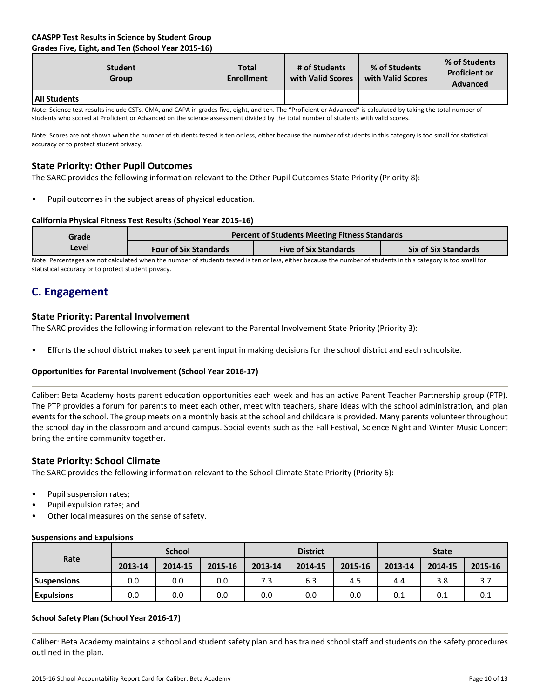# **CAASPP Test Results in Science by Student Group Grades Five, Eight, and Ten (School Year 2015-16)**

| <b>Student</b><br><b>Group</b> | <b>Total</b><br><b>Enrollment</b> | # of Students<br>with Valid Scores | % of Students<br>with Valid Scores | % of Students<br><b>Proficient or</b><br><b>Advanced</b> |
|--------------------------------|-----------------------------------|------------------------------------|------------------------------------|----------------------------------------------------------|
| All Students                   |                                   |                                    |                                    |                                                          |

Note: Science test results include CSTs, CMA, and CAPA in grades five, eight, and ten. The "Proficient or Advanced" is calculated by taking the total number of students who scored at Proficient or Advanced on the science assessment divided by the total number of students with valid scores.

Note: Scores are not shown when the number of students tested is ten or less, either because the number of students in this category is too small for statistical accuracy or to protect student privacy.

# **State Priority: Other Pupil Outcomes**

The SARC provides the following information relevant to the Other Pupil Outcomes State Priority (Priority 8):

Pupil outcomes in the subject areas of physical education.

### **California Physical Fitness Test Results (School Year 2015-16)**

| Grade                                                                                                                                                           |                              | <b>Percent of Students Meeting Fitness Standards</b> |                             |  |  |
|-----------------------------------------------------------------------------------------------------------------------------------------------------------------|------------------------------|------------------------------------------------------|-----------------------------|--|--|
| Level                                                                                                                                                           | <b>Four of Six Standards</b> | <b>Five of Six Standards</b>                         | <b>Six of Six Standards</b> |  |  |
| Note: Perceptages are not calculated when the number of students tosted is top or less, either because the number of students in this sategory is too small for |                              |                                                      |                             |  |  |

ilated when the number of students tested is ten or less, either because the number of students in this category is too small foi statistical accuracy or to protect student privacy.

# **C. Engagement**

# **State Priority: Parental Involvement**

The SARC provides the following information relevant to the Parental Involvement State Priority (Priority 3):

• Efforts the school district makes to seek parent input in making decisions for the school district and each schoolsite.

# **Opportunities for Parental Involvement (School Year 2016-17)**

Caliber: Beta Academy hosts parent education opportunities each week and has an active Parent Teacher Partnership group (PTP). The PTP provides a forum for parents to meet each other, meet with teachers, share ideas with the school administration, and plan events for the school. The group meets on a monthly basis at the school and childcare is provided. Many parents volunteer throughout the school day in the classroom and around campus. Social events such as the Fall Festival, Science Night and Winter Music Concert bring the entire community together.

# **State Priority: School Climate**

The SARC provides the following information relevant to the School Climate State Priority (Priority 6):

- Pupil suspension rates;
- Pupil expulsion rates; and
- Other local measures on the sense of safety.

#### **Suspensions and Expulsions**

|                    |         | <b>School</b> |         |         | <b>District</b> |         |         | <b>State</b> |         |
|--------------------|---------|---------------|---------|---------|-----------------|---------|---------|--------------|---------|
| Rate               | 2013-14 | 2014-15       | 2015-16 | 2013-14 | 2014-15         | 2015-16 | 2013-14 | 2014-15      | 2015-16 |
| <b>Suspensions</b> | 0.0     | 0.0           | 0.0     | 7.3     | 6.3             | 4.5     | 4.4     | 3.8          |         |
| <b>Expulsions</b>  | 0.0     | 0.0           | 0.0     | 0.0     | 0.0             | 0.0     | 0.1     | 0.1          | 0.1     |

#### **School Safety Plan (School Year 2016-17)**

Caliber: Beta Academy maintains a school and student safety plan and has trained school staff and students on the safety procedures outlined in the plan.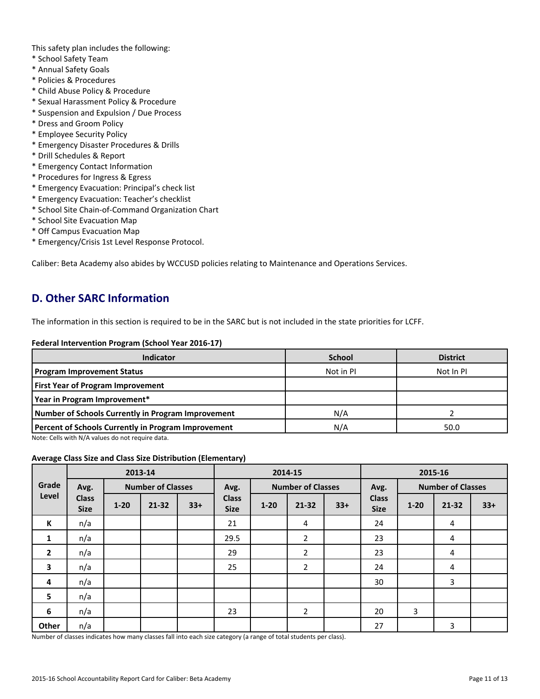This safety plan includes the following:

- \* School Safety Team
- \* Annual Safety Goals
- \* Policies & Procedures
- \* Child Abuse Policy & Procedure
- \* Sexual Harassment Policy & Procedure
- \* Suspension and Expulsion / Due Process
- \* Dress and Groom Policy
- \* Employee Security Policy
- \* Emergency Disaster Procedures & Drills
- \* Drill Schedules & Report
- \* Emergency Contact Information
- \* Procedures for Ingress & Egress
- \* Emergency Evacuation: Principal's check list
- \* Emergency Evacuation: Teacher's checklist
- \* School Site Chain-of-Command Organization Chart
- \* School Site Evacuation Map
- \* Off Campus Evacuation Map
- \* Emergency/Crisis 1st Level Response Protocol.

Caliber: Beta Academy also abides by WCCUSD policies relating to Maintenance and Operations Services.

# **D. Other SARC Information**

The information in this section is required to be in the SARC but is not included in the state priorities for LCFF.

#### **Federal Intervention Program (School Year 2016-17)**

| <b>Indicator</b>                                    | <b>School</b> | <b>District</b> |
|-----------------------------------------------------|---------------|-----------------|
| <b>Program Improvement Status</b>                   | Not in PI     | Not In PI       |
| <b>First Year of Program Improvement</b>            |               |                 |
| Year in Program Improvement*                        |               |                 |
| Number of Schools Currently in Program Improvement  | N/A           |                 |
| Percent of Schools Currently in Program Improvement | N/A           | 50.0            |

Note: Cells with N/A values do not require data.

#### **Average Class Size and Class Size Distribution (Elementary)**

|                         | 2013-14                     |          |                          |       | 2014-15                     |          |                          |       | 2015-16                     |          |                          |       |
|-------------------------|-----------------------------|----------|--------------------------|-------|-----------------------------|----------|--------------------------|-------|-----------------------------|----------|--------------------------|-------|
| Grade                   | Avg.                        |          | <b>Number of Classes</b> |       | Avg.                        |          | <b>Number of Classes</b> |       | Avg.                        |          | <b>Number of Classes</b> |       |
| Level                   | <b>Class</b><br><b>Size</b> | $1 - 20$ | $21 - 32$                | $33+$ | <b>Class</b><br><b>Size</b> | $1 - 20$ | $21 - 32$                | $33+$ | <b>Class</b><br><b>Size</b> | $1 - 20$ | 21-32                    | $33+$ |
| К                       | n/a                         |          |                          |       | 21                          |          | 4                        |       | 24                          |          | 4                        |       |
| 1                       | n/a                         |          |                          |       | 29.5                        |          | $\overline{2}$           |       | 23                          |          | 4                        |       |
| $\overline{2}$          | n/a                         |          |                          |       | 29                          |          | $\overline{2}$           |       | 23                          |          | 4                        |       |
| $\overline{\mathbf{3}}$ | n/a                         |          |                          |       | 25                          |          | $\overline{2}$           |       | 24                          |          | 4                        |       |
| 4                       | n/a                         |          |                          |       |                             |          |                          |       | 30                          |          | 3                        |       |
| 5                       | n/a                         |          |                          |       |                             |          |                          |       |                             |          |                          |       |
| 6                       | n/a                         |          |                          |       | 23                          |          | $\overline{2}$           |       | 20                          | 3        |                          |       |
| Other                   | n/a                         |          |                          |       |                             |          |                          |       | 27                          |          | 3                        |       |

Number of classes indicates how many classes fall into each size category (a range of total students per class).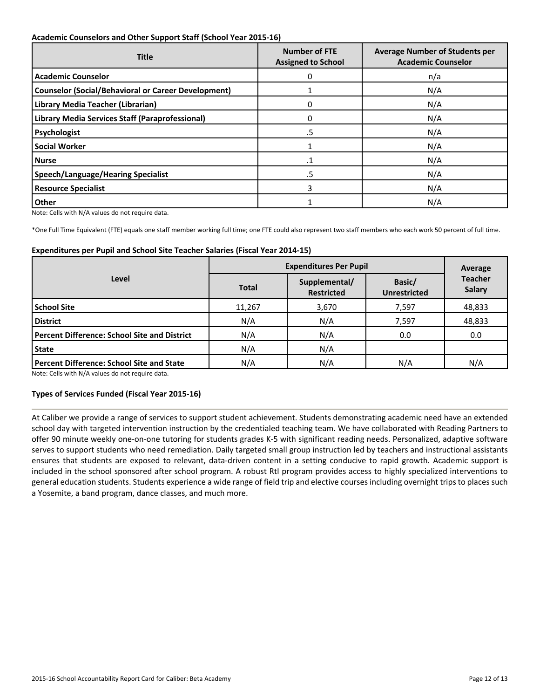### **Academic Counselors and Other Support Staff (School Year 2015-16)**

| <b>Title</b>                                               | <b>Number of FTE</b><br><b>Assigned to School</b> | <b>Average Number of Students per</b><br><b>Academic Counselor</b> |  |  |
|------------------------------------------------------------|---------------------------------------------------|--------------------------------------------------------------------|--|--|
| <b>Academic Counselor</b>                                  | 0                                                 | n/a                                                                |  |  |
| <b>Counselor (Social/Behavioral or Career Development)</b> |                                                   | N/A                                                                |  |  |
| Library Media Teacher (Librarian)                          | 0                                                 | N/A                                                                |  |  |
| Library Media Services Staff (Paraprofessional)            | 0                                                 | N/A                                                                |  |  |
| Psychologist                                               | .5                                                | N/A                                                                |  |  |
| <b>Social Worker</b>                                       |                                                   | N/A                                                                |  |  |
| l Nurse                                                    | .1                                                | N/A                                                                |  |  |
| <b>Speech/Language/Hearing Specialist</b>                  | .5                                                | N/A                                                                |  |  |
| <b>Resource Specialist</b>                                 | 3                                                 | N/A                                                                |  |  |
| Other                                                      |                                                   | N/A                                                                |  |  |

Note: Cells with N/A values do not require data.

\*One Full Time Equivalent (FTE) equals one staff member working full time; one FTE could also represent two staff members who each work 50 percent of full time.

#### **Expenditures per Pupil and School Site Teacher Salaries (Fiscal Year 2014-15)**

|                                                     | <b>Expenditures Per Pupil</b> | Average                            |       |                                 |  |
|-----------------------------------------------------|-------------------------------|------------------------------------|-------|---------------------------------|--|
| Level                                               | <b>Total</b>                  | Supplemental/<br><b>Restricted</b> |       | <b>Teacher</b><br><b>Salary</b> |  |
| <b>School Site</b>                                  | 11,267                        | 3,670                              | 7,597 | 48,833                          |  |
| <b>District</b>                                     | N/A                           | N/A                                | 7,597 | 48,833                          |  |
| <b>Percent Difference: School Site and District</b> | N/A                           | N/A                                | 0.0   | 0.0                             |  |
| <b>State</b>                                        | N/A                           | N/A                                |       |                                 |  |
| <b>Percent Difference: School Site and State</b>    | N/A                           | N/A                                | N/A   | N/A                             |  |

Note: Cells with N/A values do not require data.

# **Types of Services Funded (Fiscal Year 2015-16)**

At Caliber we provide a range of services to support student achievement. Students demonstrating academic need have an extended school day with targeted intervention instruction by the credentialed teaching team. We have collaborated with Reading Partners to offer 90 minute weekly one-on-one tutoring for students grades K-5 with significant reading needs. Personalized, adaptive software serves to support students who need remediation. Daily targeted small group instruction led by teachers and instructional assistants ensures that students are exposed to relevant, data-driven content in a setting conducive to rapid growth. Academic support is included in the school sponsored after school program. A robust RtI program provides access to highly specialized interventions to general education students. Students experience a wide range of field trip and elective courses including overnight trips to places such a Yosemite, a band program, dance classes, and much more.